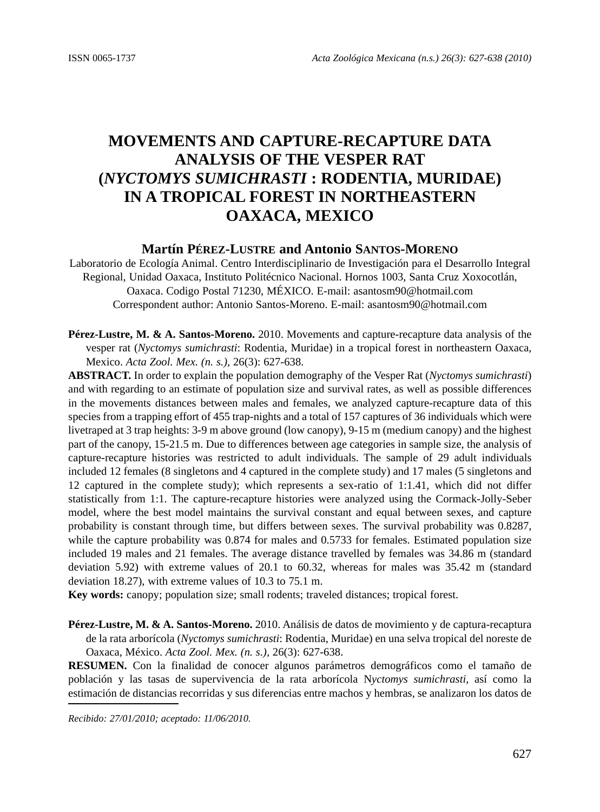# **MOVEMENTS AND CAPTURE-RECAPTURE DATA ANALYSIS OF THE VESPER RAT (***NYCTOMYS SUMICHRASTI* **: RODENTIA, MURIDAE) IN A TROPICAL FOREST IN NORTHEASTERN OAXACA, MEXICO**

## **Martín PÉREZ-LUSTRE and Antonio SANTOS-MORENO**

Laboratorio de Ecología Animal. Centro Interdisciplinario de Investigación para el Desarrollo Integral Regional, Unidad Oaxaca, Instituto Politécnico Nacional. Hornos 1003, Santa Cruz Xoxocotlán, Oaxaca. Codigo Postal 71230, MÉXICO. E-mail: asantosm90@hotmail.com Correspondent author: Antonio Santos-Moreno. E-mail: asantosm90@hotmail.com

**Pérez-Lustre, M. & A. Santos-Moreno.** 2010. Movements and capture-recapture data analysis of the vesper rat (*Nyctomys sumichrasti*: Rodentia, Muridae) in a tropical forest in northeastern Oaxaca, Mexico. *Acta Zool. Mex. (n. s.),* 26(3): 627-638.

**ABSTRACT.** In order to explain the population demography of the Vesper Rat (*Nyctomys sumichrasti*) and with regarding to an estimate of population size and survival rates, as well as possible differences in the movements distances between males and females, we analyzed capture-recapture data of this species from a trapping effort of 455 trap-nights and a total of 157 captures of 36 individuals which were livetraped at 3 trap heights: 3-9 m above ground (low canopy), 9-15 m (medium canopy) and the highest part of the canopy, 15-21.5 m. Due to differences between age categories in sample size, the analysis of capture-recapture histories was restricted to adult individuals. The sample of 29 adult individuals included 12 females (8 singletons and 4 captured in the complete study) and 17 males (5 singletons and 12 captured in the complete study); which represents a sex-ratio of 1:1.41, which did not differ statistically from 1:1. The capture-recapture histories were analyzed using the Cormack-Jolly-Seber model, where the best model maintains the survival constant and equal between sexes, and capture probability is constant through time, but differs between sexes. The survival probability was 0.8287, while the capture probability was 0.874 for males and 0.5733 for females. Estimated population size included 19 males and 21 females. The average distance travelled by females was 34.86 m (standard deviation 5.92) with extreme values of 20.1 to 60.32, whereas for males was 35.42 m (standard deviation 18.27), with extreme values of 10.3 to 75.1 m.

**Key words:** canopy; population size; small rodents; traveled distances; tropical forest.

**Pérez-Lustre, M. & A. Santos-Moreno.** 2010. Análisis de datos de movimiento y de captura-recaptura de la rata arborícola (*Nyctomys sumichrasti*: Rodentia, Muridae) en una selva tropical del noreste de Oaxaca, México. *Acta Zool. Mex. (n. s.),* 26(3): 627-638.

**RESUMEN.** Con la finalidad de conocer algunos parámetros demográficos como el tamaño de población y las tasas de supervivencia de la rata arborícola N*yctomys sumichrasti*, así como la estimación de distancias recorridas y sus diferencias entre machos y hembras, se analizaron los datos de

*Recibido: 27/01/2010; aceptado: 11/06/2010.*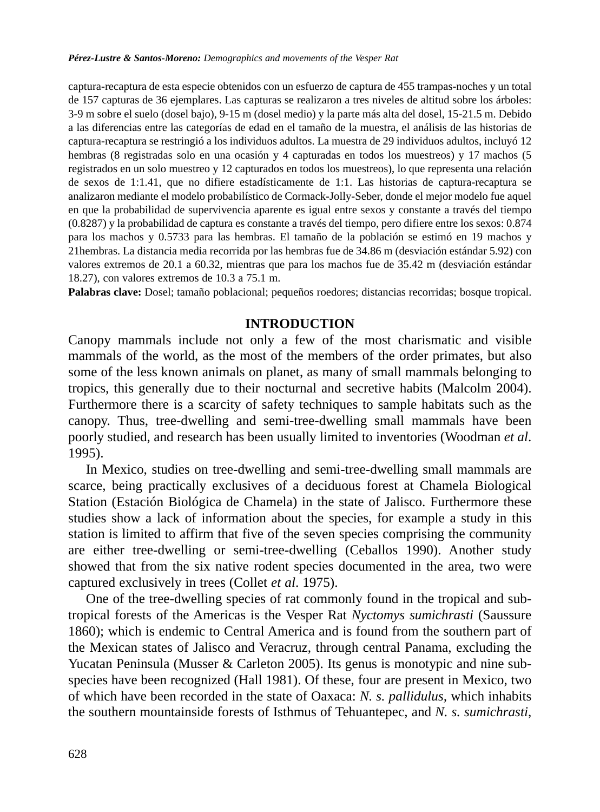#### *Pérez-Lustre & Santos-Moreno: Demographics and movements of the Vesper Rat*

captura-recaptura de esta especie obtenidos con un esfuerzo de captura de 455 trampas-noches y un total de 157 capturas de 36 ejemplares. Las capturas se realizaron a tres niveles de altitud sobre los árboles: 3-9 m sobre el suelo (dosel bajo), 9-15 m (dosel medio) y la parte más alta del dosel, 15-21.5 m. Debido a las diferencias entre las categorías de edad en el tamaño de la muestra, el análisis de las historias de captura-recaptura se restringió a los individuos adultos. La muestra de 29 individuos adultos, incluyó 12 hembras (8 registradas solo en una ocasión y 4 capturadas en todos los muestreos) y 17 machos (5 registrados en un solo muestreo y 12 capturados en todos los muestreos), lo que representa una relación de sexos de 1:1.41, que no difiere estadísticamente de 1:1. Las historias de captura-recaptura se analizaron mediante el modelo probabilístico de Cormack-Jolly-Seber, donde el mejor modelo fue aquel en que la probabilidad de supervivencia aparente es igual entre sexos y constante a través del tiempo (0.8287) y la probabilidad de captura es constante a través del tiempo, pero difiere entre los sexos: 0.874 para los machos y 0.5733 para las hembras. El tamaño de la población se estimó en 19 machos y 21hembras. La distancia media recorrida por las hembras fue de 34.86 m (desviación estándar 5.92) con valores extremos de 20.1 a 60.32, mientras que para los machos fue de 35.42 m (desviación estándar 18.27), con valores extremos de 10.3 a 75.1 m.

**Palabras clave:** Dosel; tamaño poblacional; pequeños roedores; distancias recorridas; bosque tropical.

# **INTRODUCTION**

Canopy mammals include not only a few of the most charismatic and visible mammals of the world, as the most of the members of the order primates, but also some of the less known animals on planet, as many of small mammals belonging to tropics, this generally due to their nocturnal and secretive habits (Malcolm 2004). Furthermore there is a scarcity of safety techniques to sample habitats such as the canopy. Thus, tree-dwelling and semi-tree-dwelling small mammals have been poorly studied, and research has been usually limited to inventories (Woodman *et al*. 1995).

In Mexico, studies on tree-dwelling and semi-tree-dwelling small mammals are scarce, being practically exclusives of a deciduous forest at Chamela Biological Station (Estación Biológica de Chamela) in the state of Jalisco. Furthermore these studies show a lack of information about the species, for example a study in this station is limited to affirm that five of the seven species comprising the community are either tree-dwelling or semi-tree-dwelling (Ceballos 1990). Another study showed that from the six native rodent species documented in the area, two were captured exclusively in trees (Collet *et al*. 1975).

One of the tree-dwelling species of rat commonly found in the tropical and subtropical forests of the Americas is the Vesper Rat *Nyctomys sumichrasti* (Saussure 1860); which is endemic to Central America and is found from the southern part of the Mexican states of Jalisco and Veracruz, through central Panama, excluding the Yucatan Peninsula (Musser & Carleton 2005). Its genus is monotypic and nine subspecies have been recognized (Hall 1981). Of these, four are present in Mexico, two of which have been recorded in the state of Oaxaca: *N. s. pallidulus,* which inhabits the southern mountainside forests of Isthmus of Tehuantepec, and *N. s. sumichrasti*,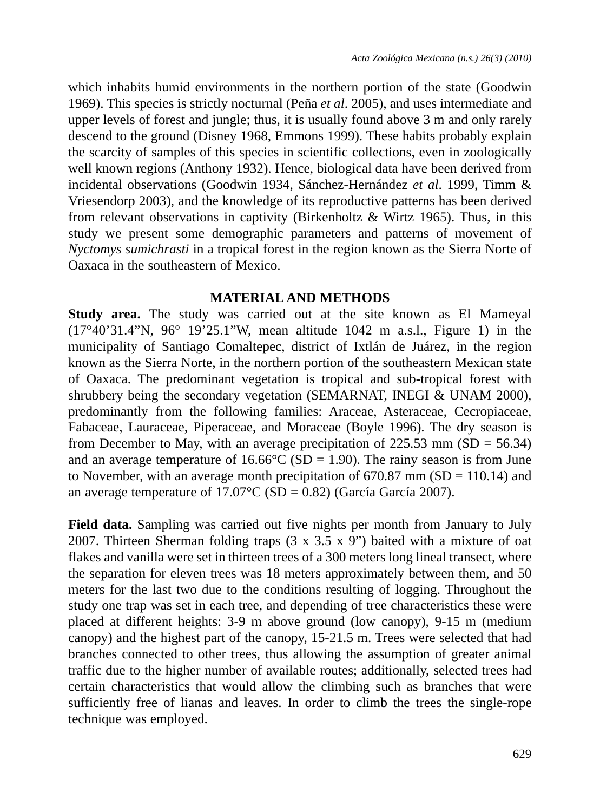which inhabits humid environments in the northern portion of the state (Goodwin 1969). This species is strictly nocturnal (Peña *et al*. 2005), and uses intermediate and upper levels of forest and jungle; thus, it is usually found above 3 m and only rarely descend to the ground (Disney 1968, Emmons 1999). These habits probably explain the scarcity of samples of this species in scientific collections, even in zoologically well known regions (Anthony 1932). Hence, biological data have been derived from incidental observations (Goodwin 1934, Sánchez-Hernández *et al*. 1999, Timm & Vriesendorp 2003), and the knowledge of its reproductive patterns has been derived from relevant observations in captivity (Birkenholtz & Wirtz 1965). Thus, in this study we present some demographic parameters and patterns of movement of *Nyctomys sumichrasti* in a tropical forest in the region known as the Sierra Norte of Oaxaca in the southeastern of Mexico.

# **MATERIAL AND METHODS**

**Study area.** The study was carried out at the site known as El Mameyal (17°40'31.4"N, 96° 19'25.1"W, mean altitude 1042 m a.s.l., Figure 1) in the municipality of Santiago Comaltepec, district of Ixtlán de Juárez, in the region known as the Sierra Norte, in the northern portion of the southeastern Mexican state of Oaxaca. The predominant vegetation is tropical and sub-tropical forest with shrubbery being the secondary vegetation (SEMARNAT, INEGI & UNAM 2000), predominantly from the following families: Araceae, Asteraceae, Cecropiaceae, Fabaceae, Lauraceae, Piperaceae, and Moraceae (Boyle 1996). The dry season is from December to May, with an average precipitation of  $225.53$  mm (SD = 56.34) and an average temperature of  $16.66^{\circ}$ C (SD = 1.90). The rainy season is from June to November, with an average month precipitation of  $670.87$  mm (SD = 110.14) and an average temperature of  $17.07^{\circ}$ C (SD = 0.82) (García García 2007).

**Field data.** Sampling was carried out five nights per month from January to July 2007. Thirteen Sherman folding traps  $(3 \times 3.5 \times 9)$  baited with a mixture of oat flakes and vanilla were set in thirteen trees of a 300 meters long lineal transect, where the separation for eleven trees was 18 meters approximately between them, and 50 meters for the last two due to the conditions resulting of logging. Throughout the study one trap was set in each tree, and depending of tree characteristics these were placed at different heights: 3-9 m above ground (low canopy), 9-15 m (medium canopy) and the highest part of the canopy, 15-21.5 m. Trees were selected that had branches connected to other trees, thus allowing the assumption of greater animal traffic due to the higher number of available routes; additionally, selected trees had certain characteristics that would allow the climbing such as branches that were sufficiently free of lianas and leaves. In order to climb the trees the single-rope technique was employed.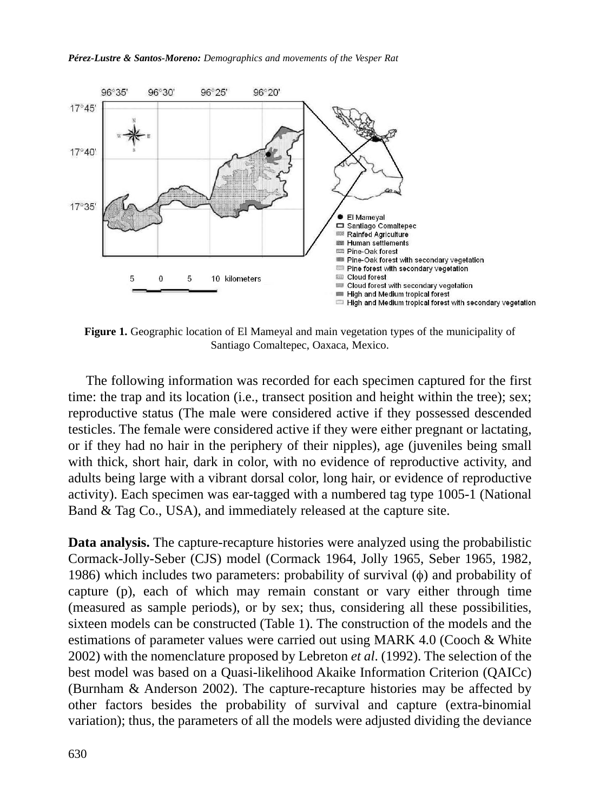*Pérez-Lustre & Santos-Moreno: Demographics and movements of the Vesper Rat* 



**Figure 1.** Geographic location of El Mameyal and main vegetation types of the municipality of Santiago Comaltepec, Oaxaca, Mexico.

The following information was recorded for each specimen captured for the first time: the trap and its location (i.e., transect position and height within the tree); sex; reproductive status (The male were considered active if they possessed descended testicles. The female were considered active if they were either pregnant or lactating, or if they had no hair in the periphery of their nipples), age (juveniles being small with thick, short hair, dark in color, with no evidence of reproductive activity, and adults being large with a vibrant dorsal color, long hair, or evidence of reproductive activity). Each specimen was ear-tagged with a numbered tag type 1005-1 (National Band & Tag Co., USA), and immediately released at the capture site.

**Data analysis.** The capture-recapture histories were analyzed using the probabilistic Cormack-Jolly-Seber (CJS) model (Cormack 1964, Jolly 1965, Seber 1965, 1982, 1986) which includes two parameters: probability of survival (φ) and probability of capture (p), each of which may remain constant or vary either through time (measured as sample periods), or by sex; thus, considering all these possibilities, sixteen models can be constructed (Table 1). The construction of the models and the estimations of parameter values were carried out using MARK 4.0 (Cooch & White 2002) with the nomenclature proposed by Lebreton *et al*. (1992). The selection of the best model was based on a Quasi-likelihood Akaike Information Criterion (QAICc) (Burnham & Anderson 2002). The capture-recapture histories may be affected by other factors besides the probability of survival and capture (extra-binomial variation); thus, the parameters of all the models were adjusted dividing the deviance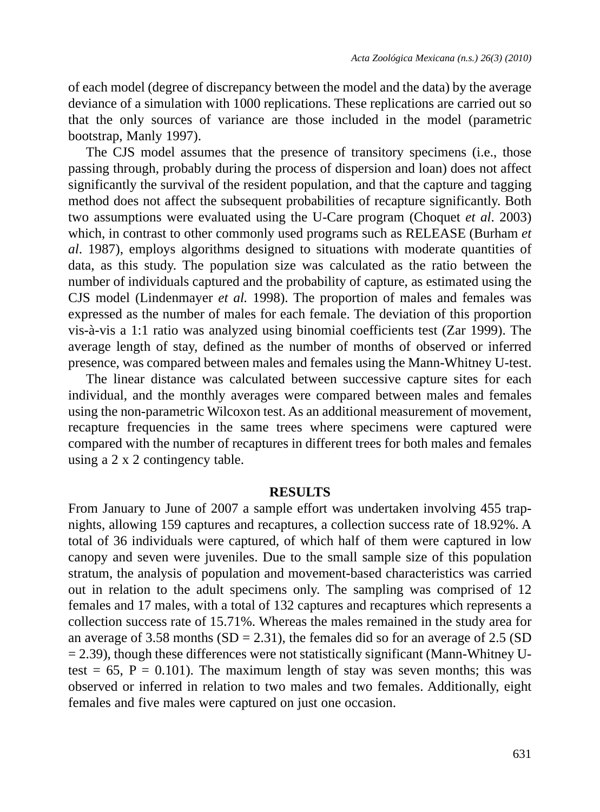of each model (degree of discrepancy between the model and the data) by the average deviance of a simulation with 1000 replications. These replications are carried out so that the only sources of variance are those included in the model (parametric bootstrap, Manly 1997).

The CJS model assumes that the presence of transitory specimens (i.e., those passing through, probably during the process of dispersion and loan) does not affect significantly the survival of the resident population, and that the capture and tagging method does not affect the subsequent probabilities of recapture significantly. Both two assumptions were evaluated using the U-Care program (Choquet *et al*. 2003) which, in contrast to other commonly used programs such as RELEASE (Burham *et al*. 1987), employs algorithms designed to situations with moderate quantities of data, as this study. The population size was calculated as the ratio between the number of individuals captured and the probability of capture, as estimated using the CJS model (Lindenmayer *et al.* 1998). The proportion of males and females was expressed as the number of males for each female. The deviation of this proportion vis-à-vis a 1:1 ratio was analyzed using binomial coefficients test (Zar 1999). The average length of stay, defined as the number of months of observed or inferred presence, was compared between males and females using the Mann-Whitney U-test.

The linear distance was calculated between successive capture sites for each individual, and the monthly averages were compared between males and females using the non-parametric Wilcoxon test. As an additional measurement of movement, recapture frequencies in the same trees where specimens were captured were compared with the number of recaptures in different trees for both males and females using a 2 x 2 contingency table.

### **RESULTS**

From January to June of 2007 a sample effort was undertaken involving 455 trapnights, allowing 159 captures and recaptures, a collection success rate of 18.92%. A total of 36 individuals were captured, of which half of them were captured in low canopy and seven were juveniles. Due to the small sample size of this population stratum, the analysis of population and movement-based characteristics was carried out in relation to the adult specimens only. The sampling was comprised of 12 females and 17 males, with a total of 132 captures and recaptures which represents a collection success rate of 15.71%. Whereas the males remained in the study area for an average of 3.58 months  $(SD = 2.31)$ , the females did so for an average of 2.5  $(SD)$  $= 2.39$ ), though these differences were not statistically significant (Mann-Whitney Utest =  $65$ , P = 0.101). The maximum length of stay was seven months; this was observed or inferred in relation to two males and two females. Additionally, eight females and five males were captured on just one occasion.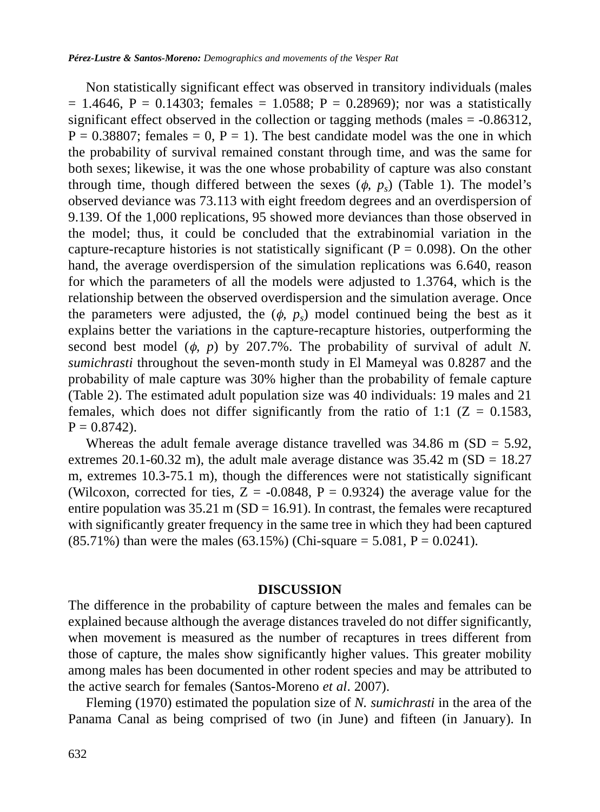Non statistically significant effect was observed in transitory individuals (males  $= 1.4646$ ,  $P = 0.14303$ ; females  $= 1.0588$ ;  $P = 0.28969$ ); nor was a statistically significant effect observed in the collection or tagging methods (males  $= -0.86312$ ,  $P = 0.38807$ ; females = 0,  $P = 1$ ). The best candidate model was the one in which the probability of survival remained constant through time, and was the same for both sexes; likewise, it was the one whose probability of capture was also constant through time, though differed between the sexes  $(\phi, p_s)$  (Table 1). The model's observed deviance was 73.113 with eight freedom degrees and an overdispersion of 9.139. Of the 1,000 replications, 95 showed more deviances than those observed in the model; thus, it could be concluded that the extrabinomial variation in the capture-recapture histories is not statistically significant ( $P = 0.098$ ). On the other hand, the average overdispersion of the simulation replications was 6.640, reason for which the parameters of all the models were adjusted to 1.3764, which is the relationship between the observed overdispersion and the simulation average. Once the parameters were adjusted, the  $(\phi, p_s)$  model continued being the best as it explains better the variations in the capture-recapture histories, outperforming the second best model  $(\phi, p)$  by 207.7%. The probability of survival of adult *N*. *sumichrasti* throughout the seven-month study in El Mameyal was 0.8287 and the probability of male capture was 30% higher than the probability of female capture (Table 2). The estimated adult population size was 40 individuals: 19 males and 21 females, which does not differ significantly from the ratio of 1:1 ( $Z = 0.1583$ ,  $P = 0.8742$ .

Whereas the adult female average distance travelled was  $34.86$  m (SD = 5.92, extremes 20.1-60.32 m), the adult male average distance was  $35.42$  m (SD = 18.27 m, extremes 10.3-75.1 m), though the differences were not statistically significant (Wilcoxon, corrected for ties,  $Z = -0.0848$ ,  $P = 0.9324$ ) the average value for the entire population was  $35.21 \text{ m}$  (SD = 16.91). In contrast, the females were recaptured with significantly greater frequency in the same tree in which they had been captured  $(85.71\%)$  than were the males  $(63.15\%)$  (Chi-square = 5.081, P = 0.0241).

### **DISCUSSION**

The difference in the probability of capture between the males and females can be explained because although the average distances traveled do not differ significantly, when movement is measured as the number of recaptures in trees different from those of capture, the males show significantly higher values. This greater mobility among males has been documented in other rodent species and may be attributed to the active search for females (Santos-Moreno *et al*. 2007).

Fleming (1970) estimated the population size of *N. sumichrasti* in the area of the Panama Canal as being comprised of two (in June) and fifteen (in January). In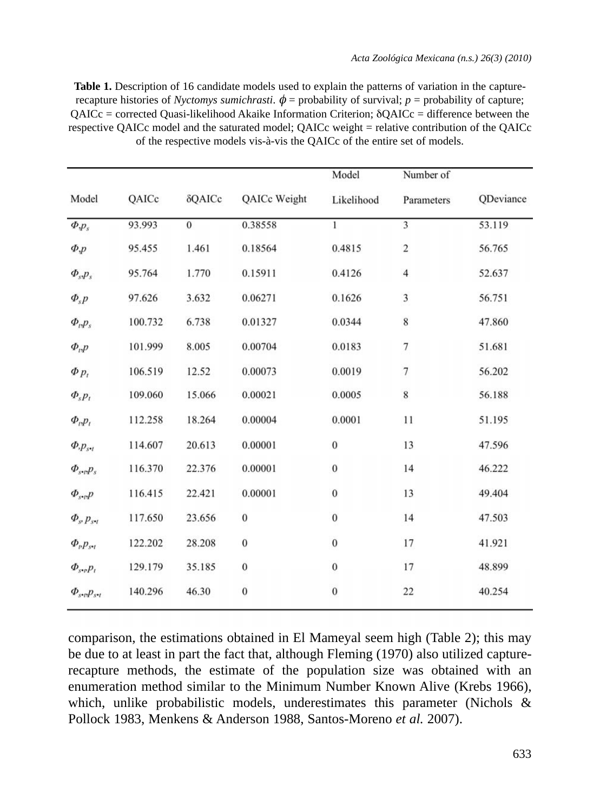**Table 1.** Description of 16 candidate models used to explain the patterns of variation in the capturerecapture histories of *Nyctomys sumichrasti*.  $\phi$  = probability of survival; *p* = probability of capture;  $OAICc$  = corrected Quasi-likelihood Akaike Information Criterion;  $\delta OAICc$  = difference between the respective QAICc model and the saturated model; QAICc weight = relative contribution of the QAICc of the respective models vis-à-vis the QAICc of the entire set of models.

|                                                                  |         |                |                  | Model            | Number of               |           |
|------------------------------------------------------------------|---------|----------------|------------------|------------------|-------------------------|-----------|
| Model                                                            | QAICc   | δQAICc         | QAICc Weight     | Likelihood       | Parameters              | QDeviance |
| $\Phi_{\cdot} p_s$                                               | 93.993  | $\overline{0}$ | 0.38558          | $\mathbf{1}$     | $\overline{\mathbf{3}}$ | 53.119    |
| $\Phi, p$                                                        | 95.455  | 1.461          | 0.18564          | 0.4815           | $\overline{\mathbf{c}}$ | 56.765    |
| $\Phi_{s}p_{s}$                                                  | 95.764  | 1.770          | 0.15911          | 0.4126           | $\overline{4}$          | 52.637    |
| $\Phi_{s} p$                                                     | 97.626  | 3.632          | 0.06271          | 0.1626           | $\overline{\mathbf{3}}$ | 56.751    |
| $\Phi_{t}P_{s}$                                                  | 100.732 | 6.738          | 0.01327          | 0.0344           | 8                       | 47.860    |
| $\Phi_{i}$                                                       | 101.999 | 8.005          | 0.00704          | 0.0183           | $\overline{\tau}$       | 51.681    |
| $\Phi p_i$                                                       | 106.519 | 12.52          | 0.00073          | 0.0019           | 7                       | 56.202    |
| $\Phi_{s} p_{t}$                                                 | 109.060 | 15.066         | 0.00021          | 0.0005           | 8                       | 56.188    |
| $\Phi_{i}p_{i}$                                                  | 112.258 | 18.264         | 0.00004          | 0.0001           | 11                      | 51.195    |
| $\Phi_{\cdot} p_{s \bullet t}$                                   | 114.607 | 20.613         | 0.00001          | $\mathbf{0}$     | 13                      | 47.596    |
| $\Phi_{s\bullet p}p_s$                                           | 116.370 | 22.376         | 0.00001          | $\mathbf{0}$     | 14                      | 46.222    |
| $\varPhi_{s\bullet p}p$                                          | 116.415 | 22.421         | 0.00001          | $\mathbf{0}$     | 13                      | 49.404    |
| $\Phi_{s}$ $p_{s}$                                               | 117.650 | 23.656         | $\boldsymbol{0}$ | $\boldsymbol{0}$ | 14                      | 47.503    |
| $\varPhi_{\scriptscriptstyle p}p_{s\bullet\scriptscriptstyle l}$ | 122.202 | 28.208         | $\boldsymbol{0}$ | $\mathbf{0}$     | 17                      | 41.921    |
| $\Phi_{s\bullet p} p_i$                                          | 129.179 | 35.185         | $\bf{0}$         | $\bf{0}$         | 17                      | 48.899    |
| $\Phi_{s\bullet p} p_{s\bullet t}$                               | 140.296 | 46.30          | $\boldsymbol{0}$ | $\mathbf{0}$     | 22                      | 40.254    |

comparison, the estimations obtained in El Mameyal seem high (Table 2); this may be due to at least in part the fact that, although Fleming (1970) also utilized capturerecapture methods, the estimate of the population size was obtained with an enumeration method similar to the Minimum Number Known Alive (Krebs 1966), which, unlike probabilistic models, underestimates this parameter (Nichols & Pollock 1983, Menkens & Anderson 1988, Santos-Moreno *et al.* 2007).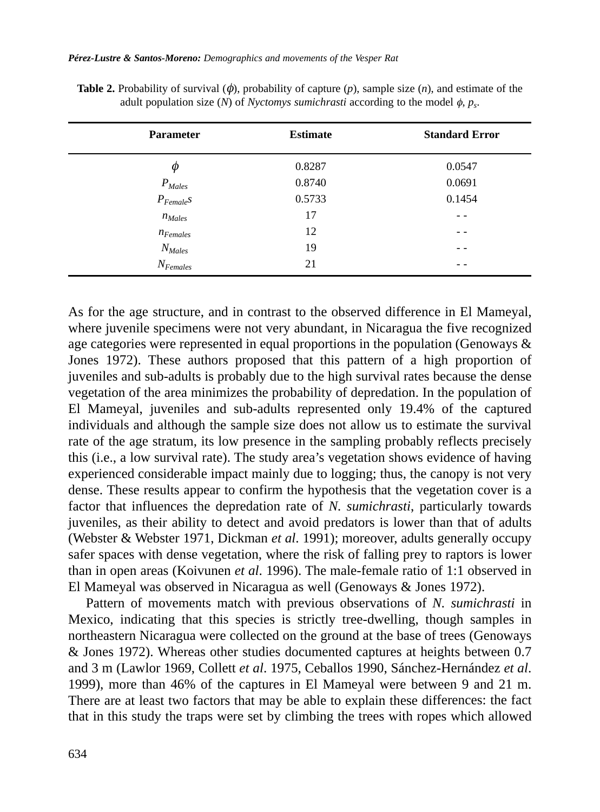*Pérez-Lustre & Santos-Moreno: Demographics and movements of the Vesper Rat* 

| <b>Parameter</b> | <b>Estimate</b> | <b>Standard Error</b> |
|------------------|-----------------|-----------------------|
| Φ                | 0.8287          | 0.0547                |
| $P_{Males}$      | 0.8740          | 0.0691                |
| $P_{Female}$ S   | 0.5733          | 0.1454                |
| $n_{Males}$      | 17              | - -                   |
| $n_{Females}$    | 12              | - -                   |
| $N_{Males}$      | 19              | - -                   |
| $N_{Females}$    | 21              | - -                   |

**Table 2.** Probability of survival  $(\phi)$ , probability of capture  $(p)$ , sample size  $(n)$ , and estimate of the adult population size  $(N)$  of *Nyctomys sumichrasti* according to the model  $\phi$ ,  $p_s$ .

As for the age structure, and in contrast to the observed difference in El Mameyal, where juvenile specimens were not very abundant, in Nicaragua the five recognized age categories were represented in equal proportions in the population (Genoways  $\&$ Jones 1972). These authors proposed that this pattern of a high proportion of juveniles and sub-adults is probably due to the high survival rates because the dense vegetation of the area minimizes the probability of depredation. In the population of El Mameyal, juveniles and sub-adults represented only 19.4% of the captured individuals and although the sample size does not allow us to estimate the survival rate of the age stratum, its low presence in the sampling probably reflects precisely this (i.e., a low survival rate). The study area's vegetation shows evidence of having experienced considerable impact mainly due to logging; thus, the canopy is not very dense. These results appear to confirm the hypothesis that the vegetation cover is a factor that influences the depredation rate of *N. sumichrasti*, particularly towards juveniles, as their ability to detect and avoid predators is lower than that of adults (Webster & Webster 1971, Dickman *et al*. 1991); moreover, adults generally occupy safer spaces with dense vegetation, where the risk of falling prey to raptors is lower than in open areas (Koivunen *et al*. 1996). The male-female ratio of 1:1 observed in El Mameyal was observed in Nicaragua as well (Genoways & Jones 1972).

Pattern of movements match with previous observations of *N. sumichrasti* in Mexico, indicating that this species is strictly tree-dwelling, though samples in northeastern Nicaragua were collected on the ground at the base of trees (Genoways & Jones 1972). Whereas other studies documented captures at heights between 0.7 and 3 m (Lawlor 1969, Collett *et al*. 1975, Ceballos 1990, Sánchez-Hernández *et al*. 1999), more than 46% of the captures in El Mameyal were between 9 and 21 m. There are at least two factors that may be able to explain these differences: the fact that in this study the traps were set by climbing the trees with ropes which allowed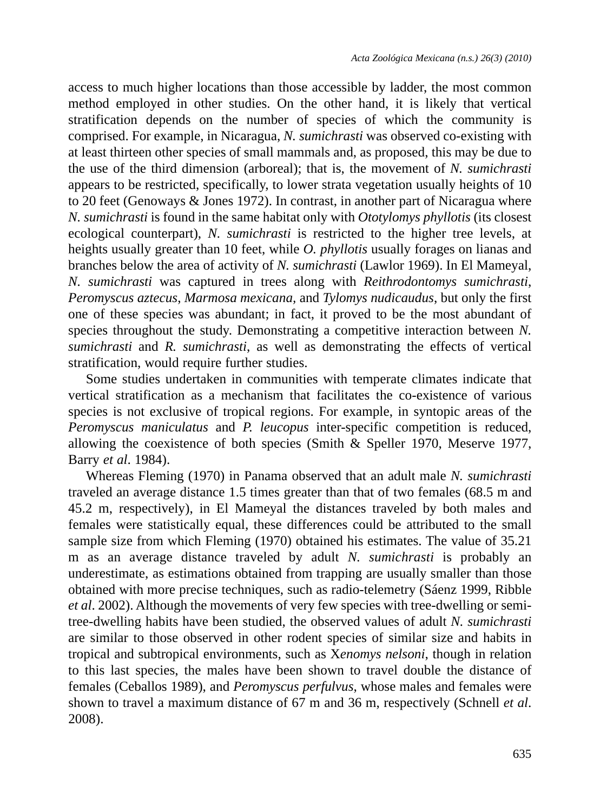access to much higher locations than those accessible by ladder, the most common method employed in other studies. On the other hand, it is likely that vertical stratification depends on the number of species of which the community is comprised. For example, in Nicaragua, *N. sumichrasti* was observed co-existing with at least thirteen other species of small mammals and, as proposed, this may be due to the use of the third dimension (arboreal); that is, the movement of *N. sumichrasti* appears to be restricted, specifically, to lower strata vegetation usually heights of 10 to 20 feet (Genoways & Jones 1972). In contrast, in another part of Nicaragua where *N. sumichrasti* is found in the same habitat only with *Ototylomys phyllotis* (its closest ecological counterpart), *N. sumichrasti* is restricted to the higher tree levels, at heights usually greater than 10 feet, while *O. phyllotis* usually forages on lianas and branches below the area of activity of *N. sumichrasti* (Lawlor 1969). In El Mameyal, *N. sumichrasti* was captured in trees along with *Reithrodontomys sumichrasti*, *Peromyscus aztecus*, *Marmosa mexicana,* and *Tylomys nudicaudus*, but only the first one of these species was abundant; in fact, it proved to be the most abundant of species throughout the study. Demonstrating a competitive interaction between *N. sumichrasti* and *R. sumichrasti*, as well as demonstrating the effects of vertical stratification, would require further studies.

Some studies undertaken in communities with temperate climates indicate that vertical stratification as a mechanism that facilitates the co-existence of various species is not exclusive of tropical regions. For example, in syntopic areas of the *Peromyscus maniculatus* and *P. leucopus* inter-specific competition is reduced, allowing the coexistence of both species (Smith & Speller 1970, Meserve 1977, Barry *et al*. 1984).

Whereas Fleming (1970) in Panama observed that an adult male *N. sumichrasti* traveled an average distance 1.5 times greater than that of two females (68.5 m and 45.2 m, respectively), in El Mameyal the distances traveled by both males and females were statistically equal, these differences could be attributed to the small sample size from which Fleming (1970) obtained his estimates. The value of 35.21 m as an average distance traveled by adult *N. sumichrasti* is probably an underestimate, as estimations obtained from trapping are usually smaller than those obtained with more precise techniques, such as radio-telemetry (Sáenz 1999, Ribble *et al*. 2002). Although the movements of very few species with tree-dwelling or semitree-dwelling habits have been studied, the observed values of adult *N. sumichrasti* are similar to those observed in other rodent species of similar size and habits in tropical and subtropical environments, such as X*enomys nelsoni*, though in relation to this last species, the males have been shown to travel double the distance of females (Ceballos 1989), and *Peromyscus perfulvus*, whose males and females were shown to travel a maximum distance of 67 m and 36 m, respectively (Schnell *et al*. 2008).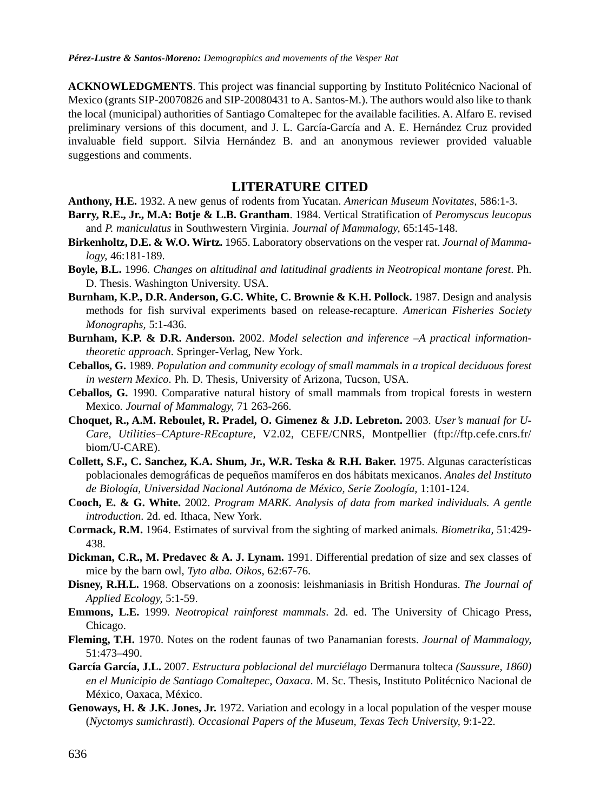**ACKNOWLEDGMENTS**. This project was financial supporting by Instituto Politécnico Nacional of Mexico (grants SIP-20070826 and SIP-20080431 to A. Santos-M.). The authors would also like to thank the local (municipal) authorities of Santiago Comaltepec for the available facilities. A. Alfaro E. revised preliminary versions of this document, and J. L. García-García and A. E. Hernández Cruz provided invaluable field support. Silvia Hernández B. and an anonymous reviewer provided valuable suggestions and comments.

#### **LITERATURE CITED**

**Anthony, H.E.** 1932. A new genus of rodents from Yucatan. *American Museum Novitates,* 586:1-3.

- **Barry, R.E., Jr., M.A: Botje & L.B. Grantham**. 1984. Vertical Stratification of *Peromyscus leucopus* and *P. maniculatus* in Southwestern Virginia. *Journal of Mammalogy,* 65:145-148.
- **Birkenholtz, D.E. & W.O. Wirtz.** 1965. Laboratory observations on the vesper rat. *Journal of Mammalogy,* 46:181-189.
- **Boyle, B.L.** 1996. *Changes on altitudinal and latitudinal gradients in Neotropical montane forest*. Ph. D. Thesis. Washington University. USA.
- **Burnham, K.P., D.R. Anderson, G.C. White, C. Brownie & K.H. Pollock.** 1987. Design and analysis methods for fish survival experiments based on release-recapture. *American Fisheries Society Monographs,* 5:1-436.
- **Burnham, K.P. & D.R. Anderson.** 2002. *Model selection and inference –A practical informationtheoretic approach*. Springer-Verlag, New York.
- **Ceballos, G.** 1989. *Population and community ecology of small mammals in a tropical deciduous forest in western Mexico*. Ph. D. Thesis, University of Arizona, Tucson, USA.
- **Ceballos, G.** 1990. Comparative natural history of small mammals from tropical forests in western Mexico*. Journal of Mammalogy,* 71 263-266.
- **Choquet, R., A.M. Reboulet, R. Pradel, O. Gimenez & J.D. Lebreton.** 2003. *User's manual for U-Care, Utilities–CApture-REcapture*, V2.02, CEFE/CNRS, Montpellier (ftp://ftp.cefe.cnrs.fr/ biom/U-CARE).
- **Collett, S.F., C. Sanchez, K.A. Shum, Jr., W.R. Teska & R.H. Baker.** 1975. Algunas características poblacionales demográficas de pequeños mamíferos en dos hábitats mexicanos. *Anales del Instituto de Biología, Universidad Nacional Autónoma de México, Serie Zoología,* 1:101-124.
- **Cooch, E. & G. White.** 2002. *Program MARK. Analysis of data from marked individuals. A gentle introduction*. 2d. ed. Ithaca, New York.
- **Cormack, R.M.** 1964. Estimates of survival from the sighting of marked animals*. Biometrika,* 51:429- 438.
- **Dickman, C.R., M. Predavec & A. J. Lynam.** 1991. Differential predation of size and sex classes of mice by the barn owl, *Tyto alba. Oikos,* 62:67-76.
- **Disney, R.H.L.** 1968. Observations on a zoonosis: leishmaniasis in British Honduras. *The Journal of Applied Ecology,* 5:1-59.
- **Emmons, L.E.** 1999. *Neotropical rainforest mammals*. 2d. ed. The University of Chicago Press, Chicago.
- **Fleming, T.H.** 1970. Notes on the rodent faunas of two Panamanian forests. *Journal of Mammalogy,* 51:473–490.
- **García García, J.L.** 2007. *Estructura poblacional del murciélago* Dermanura tolteca *(Saussure, 1860) en el Municipio de Santiago Comaltepec, Oaxaca*. M. Sc. Thesis, Instituto Politécnico Nacional de México, Oaxaca, México.
- **Genoways, H. & J.K. Jones, Jr.** 1972. Variation and ecology in a local population of the vesper mouse (*Nyctomys sumichrasti*). *Occasional Papers of the Museum, Texas Tech University,* 9:1-22.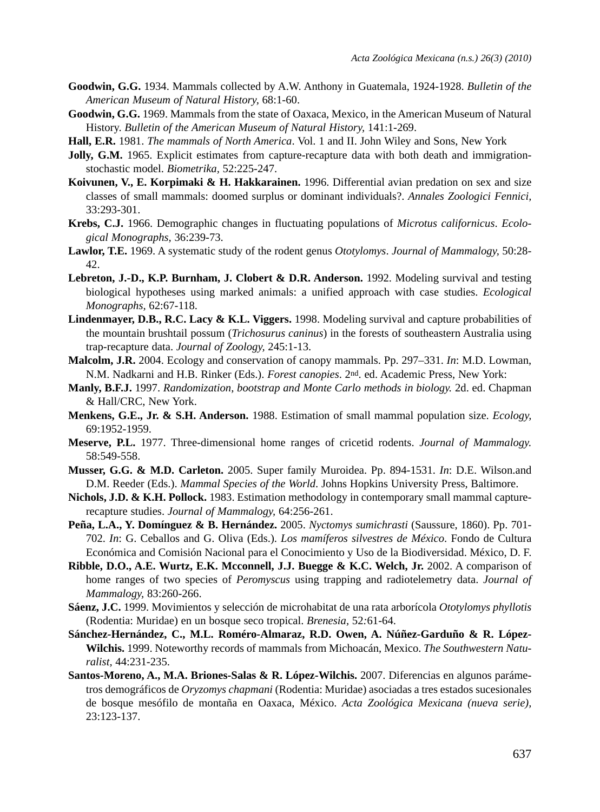- **Goodwin, G.G.** 1934. Mammals collected by A.W. Anthony in Guatemala, 1924-1928. *Bulletin of the American Museum of Natural History,* 68:1-60.
- **Goodwin, G.G.** 1969. Mammals from the state of Oaxaca, Mexico, in the American Museum of Natural History. *Bulletin of the American Museum of Natural History,* 141:1-269.
- **Hall, E.R.** 1981. *The mammals of North America*. Vol. 1 and II. John Wiley and Sons, New York
- **Jolly, G.M.** 1965. Explicit estimates from capture-recapture data with both death and immigrationstochastic model. *Biometrika,* 52:225-247.
- **Koivunen, V., E. Korpimaki & H. Hakkarainen.** 1996. Differential avian predation on sex and size classes of small mammals: doomed surplus or dominant individuals?. *Annales Zoologici Fennici,* 33:293-301.
- **Krebs, C.J.** 1966. Demographic changes in fluctuating populations of *Microtus californicus*. *Ecological Monographs,* 36:239-73.
- **Lawlor, T.E.** 1969. A systematic study of the rodent genus *Ototylomys*. *Journal of Mammalogy,* 50:28- 42.
- Lebreton, J.-D., K.P. Burnham, J. Clobert & D.R. Anderson. 1992. Modeling survival and testing biological hypotheses using marked animals: a unified approach with case studies. *Ecological Monographs,* 62:67-118.
- **Lindenmayer, D.B., R.C. Lacy & K.L. Viggers.** 1998. Modeling survival and capture probabilities of the mountain brushtail possum (*Trichosurus caninus*) in the forests of southeastern Australia using trap-recapture data. *Journal of Zoology,* 245:1-13.
- **Malcolm, J.R.** 2004. Ecology and conservation of canopy mammals. Pp. 297–331. *In*: M.D. Lowman, N.M. Nadkarni and H.B. Rinker (Eds.). *Forest canopies*. 2nd. ed. Academic Press, New York:
- **Manly, B.F.J.** 1997. *Randomization, bootstrap and Monte Carlo methods in biology.* 2d. ed. Chapman & Hall/CRC, New York.
- **Menkens, G.E., Jr. & S.H. Anderson.** 1988. Estimation of small mammal population size. *Ecology,* 69:1952-1959.
- **Meserve, P.L.** 1977. Three-dimensional home ranges of cricetid rodents. *Journal of Mammalogy.* 58:549-558.
- **Musser, G.G. & M.D. Carleton.** 2005. Super family Muroidea. Pp. 894-1531. *In*: D.E. Wilson.and D.M. Reeder (Eds.). *Mammal Species of the World*. Johns Hopkins University Press, Baltimore.
- **Nichols, J.D. & K.H. Pollock.** 1983. Estimation methodology in contemporary small mammal capturerecapture studies. *Journal of Mammalogy,* 64:256-261.
- **Peña, L.A., Y. Domínguez & B. Hernández.** 2005. *Nyctomys sumichrasti* (Saussure, 1860). Pp. 701- 702. *In*: G. Ceballos and G. Oliva (Eds.). *Los mamíferos silvestres de México*. Fondo de Cultura Económica and Comisión Nacional para el Conocimiento y Uso de la Biodiversidad. México, D. F.
- **Ribble, D.O., A.E. Wurtz, E.K. Mcconnell, J.J. Buegge & K.C. Welch, Jr.** 2002. A comparison of home ranges of two species of *Peromyscus* using trapping and radiotelemetry data. *Journal of Mammalogy,* 83:260-266.
- **Sáenz, J.C.** 1999. Movimientos y selección de microhabitat de una rata arborícola *Ototylomys phyllotis* (Rodentia: Muridae) en un bosque seco tropical. *Brenesia,* 52*:*61-64.
- **Sánchez-Hernández, C., M.L. Roméro-Almaraz, R.D. Owen, A. Núñez-Garduño & R. López-Wilchis.** 1999. Noteworthy records of mammals from Michoacán, Mexico. *The Southwestern Naturalist,* 44:231-235.
- **Santos-Moreno, A., M.A. Briones-Salas & R. López-Wilchis.** 2007. Diferencias en algunos parámetros demográficos de *Oryzomys chapmani* (Rodentia: Muridae) asociadas a tres estados sucesionales de bosque mesófilo de montaña en Oaxaca, México. *Acta Zoológica Mexicana (nueva serie),* 23:123-137.